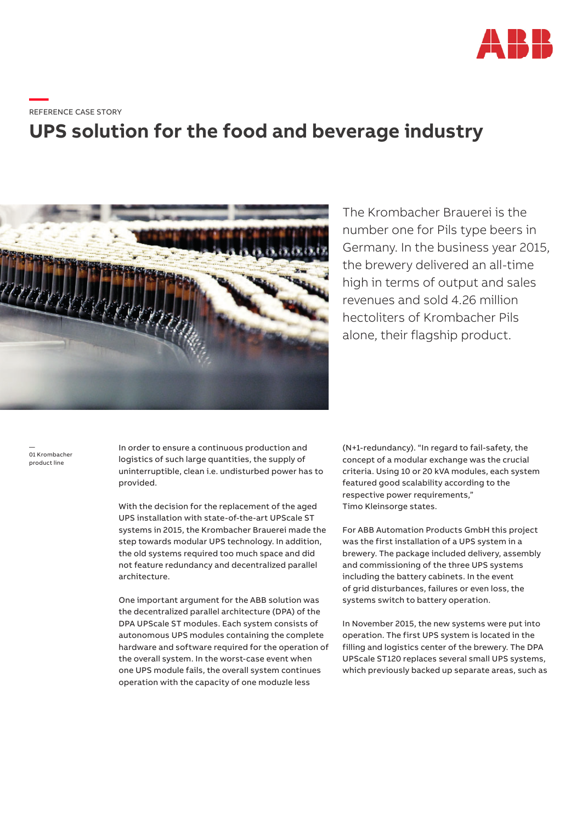

**—**REFERENCE CASE STORY

## **UPS solution for the food and beverage industry**



The Krombacher Brauerei is the number one for Pils type beers in Germany. In the business year 2015, the brewery delivered an all-time high in terms of output and sales revenues and sold 4.26 million hectoliters of Krombacher Pils alone, their flagship product.

— 01 Krombacher product line

In order to ensure a continuous production and logistics of such large quantities, the supply of uninterruptible, clean i.e. undisturbed power has to provided.

With the decision for the replacement of the aged UPS installation with state-of-the-art UPScale ST systems in 2015, the Krombacher Brauerei made the step towards modular UPS technology. In addition, the old systems required too much space and did not feature redundancy and decentralized parallel architecture.

One important argument for the ABB solution was the decentralized parallel architecture (DPA) of the DPA UPScale ST modules. Each system consists of autonomous UPS modules containing the complete hardware and software required for the operation of the overall system. In the worst-case event when one UPS module fails, the overall system continues operation with the capacity of one moduzle less

(N+1-redundancy). "In regard to fail-safety, the concept of a modular exchange was the crucial criteria. Using 10 or 20 kVA modules, each system featured good scalability according to the respective power requirements," Timo Kleinsorge states.

For ABB Automation Products GmbH this project was the first installation of a UPS system in a brewery. The package included delivery, assembly and commissioning of the three UPS systems including the battery cabinets. In the event of grid disturbances, failures or even loss, the systems switch to battery operation.

In November 2015, the new systems were put into operation. The first UPS system is located in the filling and logistics center of the brewery. The DPA UPScale ST120 replaces several small UPS systems, which previously backed up separate areas, such as